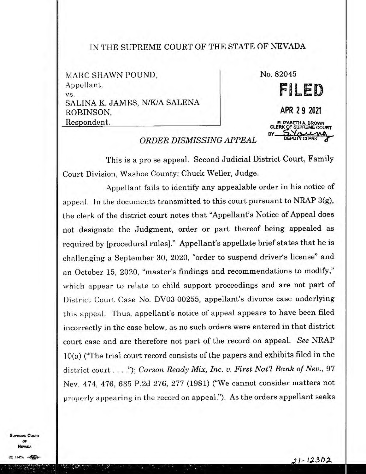## IN THE SUPREME COURT OF THE STATE OF NEVADA

MARC SHAWN POUND. Appellant. vs. SALINA K. JAMES, N/KIA SALENA ROBINSON, Respondent.



## *ORDER DISMISSING APPEAL*

This is a pro se appeal. Second Judicial District Court, Family Court Division, Washoe County; Chuck Weller, Judge.

Appellant fails to identify any appealable order in his notice of appeal. In the documents transmitted to this court pursuant to NRAP  $3(g)$ , the clerk of' the district court notes that "Appellant's Notice of Appeal does not designate the Judgment, order or part thereof being appealed as required by [procedural rules]." Appellant's appellate brief states that he is challenging a September 30, 2020, "order to suspend driver's license" and an October 15, 2020, "master's findings and recommendations to modify," which appear to relate to child support proceedings and are not part of District Court Case No. DV03-00255, appellant's divorce case underlying this appeal. Thus, appellant's notice of appeal appears to have been filed incorrectly in the case below, as no such orders were entered in that district court case and are therefore not part of the record on appeal. *See* NRAP 10(a) ("The trial court record consists of the papers and exhibits filed in the district court . . . ."); *Carson Ready Mix, Inc. v. First Nat'l Bank of Nev.*, 97 Nev. 474, 476, 635 P.2d 276, 277 (1981) ("We cannot consider matters not properly appearing in the record on appeal."). As the orders appellant seeks

**SUPREME COURT** OF **VEVADA**